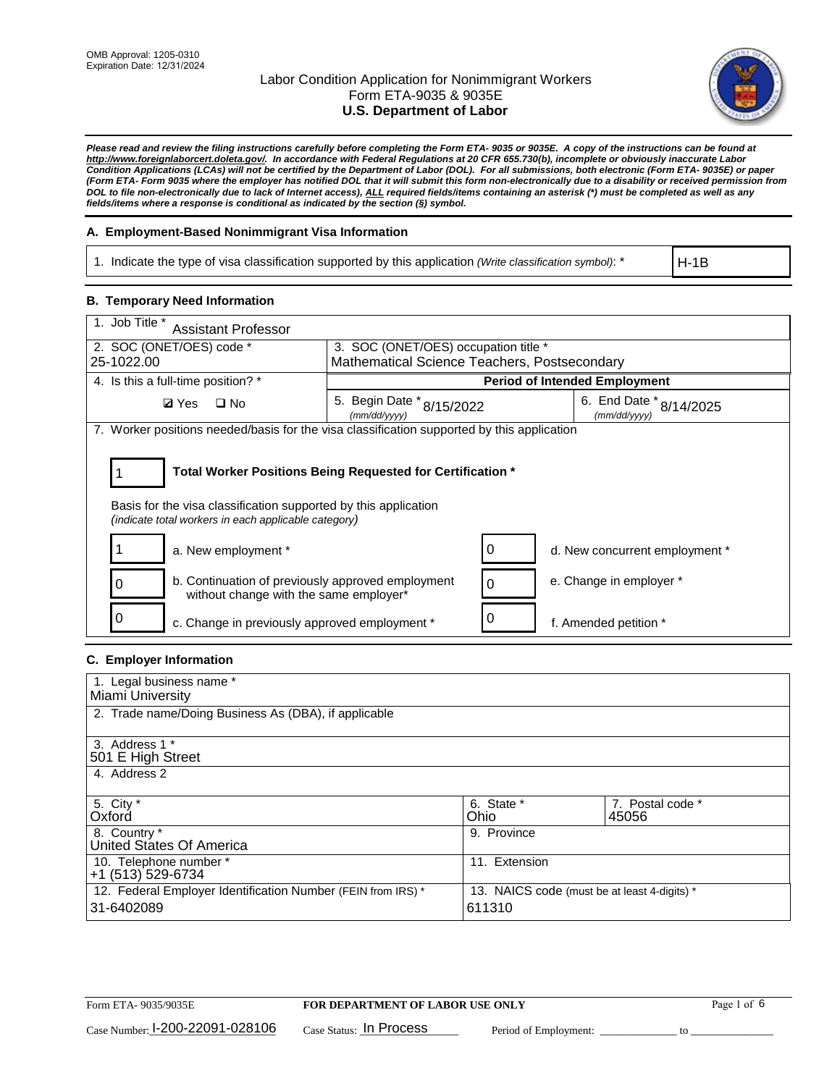

*Please read and review the filing instructions carefully before completing the Form ETA- 9035 or 9035E. A copy of the instructions can be found at [http://www.foreignlaborcert.doleta.gov/.](http://www.foreignlaborcert.doleta.gov/) In accordance with Federal Regulations at 20 CFR 655.730(b), incomplete or obviously inaccurate Labor Condition Applications (LCAs) will not be certified by the Department of Labor (DOL). For all submissions, both electronic (Form ETA- 9035E) or paper (Form ETA- Form 9035 where the employer has notified DOL that it will submit this form non-electronically due to a disability or received permission from DOL to file non-electronically due to lack of Internet access), ALL required fields/items containing an asterisk (\*) must be completed as well as any fields/items where a response is conditional as indicated by the section (§) symbol.* 

## **A. Employment-Based Nonimmigrant Visa Information**

1. Indicate the type of visa classification supported by this application *(Write classification symbol)*: \*

H-1B

#### **B. Temporary Need Information**

| 1. Job Title *<br><b>Assistant Professor</b>                                                                                                                                          |                                              |          |                                             |  |
|---------------------------------------------------------------------------------------------------------------------------------------------------------------------------------------|----------------------------------------------|----------|---------------------------------------------|--|
| 2. SOC (ONET/OES) code *                                                                                                                                                              | 3. SOC (ONET/OES) occupation title *         |          |                                             |  |
| 25-1022.00                                                                                                                                                                            | Mathematical Science Teachers, Postsecondary |          |                                             |  |
| 4. Is this a full-time position? *                                                                                                                                                    |                                              |          | <b>Period of Intended Employment</b>        |  |
| $\Box$ No<br><b>Ø</b> Yes                                                                                                                                                             | 5. Begin Date * 8/15/2022<br>(mm/dd/yyyy)    |          | 6. End Date $*_{8/14/2025}$<br>(mm/dd/yyyy) |  |
| 7. Worker positions needed/basis for the visa classification supported by this application                                                                                            |                                              |          |                                             |  |
| Total Worker Positions Being Requested for Certification *<br>Basis for the visa classification supported by this application<br>(indicate total workers in each applicable category) |                                              |          |                                             |  |
| a. New employment *                                                                                                                                                                   |                                              | 0        | d. New concurrent employment *              |  |
| b. Continuation of previously approved employment<br>0<br>without change with the same employer*                                                                                      |                                              | $\Omega$ | e. Change in employer *                     |  |
| c. Change in previously approved employment *                                                                                                                                         |                                              | 0        | f. Amended petition *                       |  |

## **C. Employer Information**

| 1. Legal business name *                                                   |                                                        |                           |
|----------------------------------------------------------------------------|--------------------------------------------------------|---------------------------|
| Miami University                                                           |                                                        |                           |
| 2. Trade name/Doing Business As (DBA), if applicable                       |                                                        |                           |
| 3. Address 1 *<br>501 E High Street<br>4. Address 2                        |                                                        |                           |
| 5. City *<br>Oxford                                                        | 6. State *<br>Ohio                                     | 7. Postal code *<br>45056 |
| 8. Country *<br>United States Of America                                   | 9. Province                                            |                           |
| 10. Telephone number *<br>+1 (513) 529-6734                                | 11. Extension                                          |                           |
| 12. Federal Employer Identification Number (FEIN from IRS) *<br>31-6402089 | 13. NAICS code (must be at least 4-digits) *<br>611310 |                           |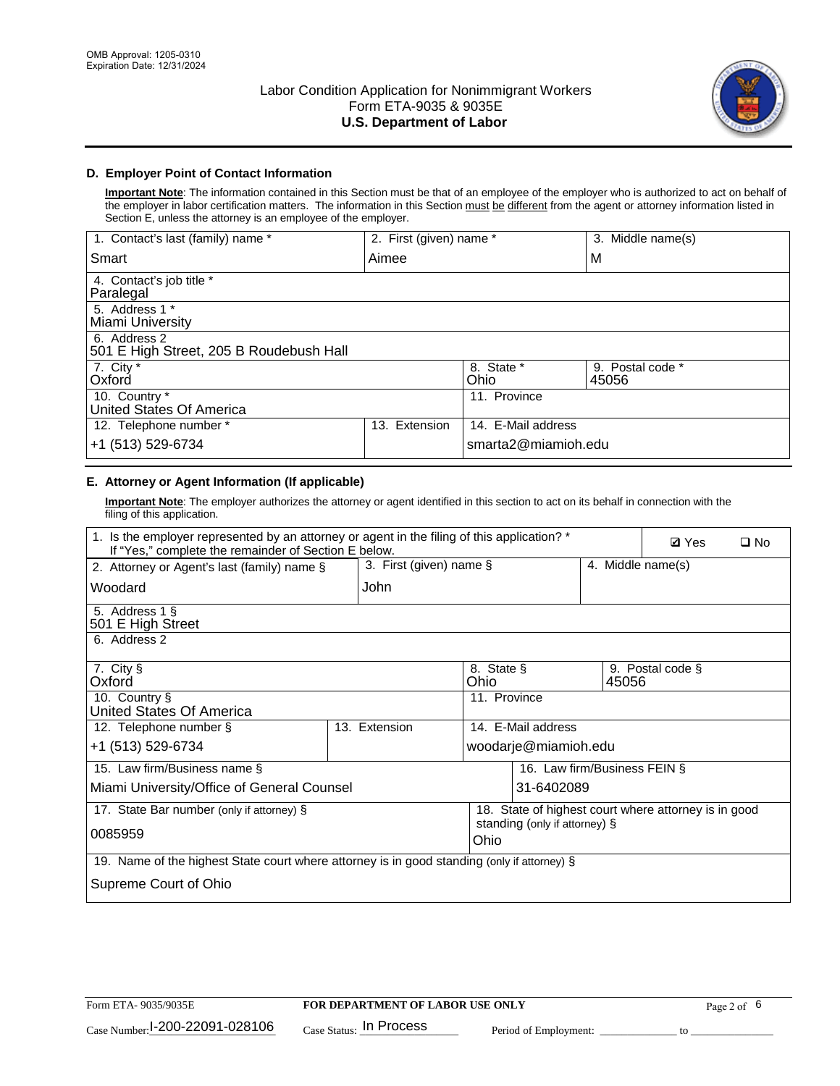

## **D. Employer Point of Contact Information**

**Important Note**: The information contained in this Section must be that of an employee of the employer who is authorized to act on behalf of the employer in labor certification matters. The information in this Section must be different from the agent or attorney information listed in Section E, unless the attorney is an employee of the employer.

| 1. Contact's last (family) name *                       | 2. First (given) name * |                     | 3. Middle name(s)         |
|---------------------------------------------------------|-------------------------|---------------------|---------------------------|
| Smart                                                   | Aimee                   |                     | M                         |
| 4. Contact's job title *<br>Paralegal                   |                         |                     |                           |
| 5. Address 1 *<br>Miami University                      |                         |                     |                           |
| 6. Address 2<br>501 E High Street, 205 B Roudebush Hall |                         |                     |                           |
| 7. City *<br>Oxford                                     |                         | 8. State *<br>Ohio  | 9. Postal code *<br>45056 |
| 10. Country *<br>United States Of America               |                         | 11. Province        |                           |
| 12. Telephone number *                                  | Extension<br>13.        | 14. E-Mail address  |                           |
| +1 (513) 529-6734                                       |                         | smarta2@miamioh.edu |                           |

# **E. Attorney or Agent Information (If applicable)**

**Important Note**: The employer authorizes the attorney or agent identified in this section to act on its behalf in connection with the filing of this application.

| 1. Is the employer represented by an attorney or agent in the filing of this application? *<br>If "Yes," complete the remainder of Section E below. |                                              |                    |                                                      |       | <b>Ø</b> Yes     | $\Box$ No |
|-----------------------------------------------------------------------------------------------------------------------------------------------------|----------------------------------------------|--------------------|------------------------------------------------------|-------|------------------|-----------|
| 2. Attorney or Agent's last (family) name §                                                                                                         | 3. First (given) name §<br>4. Middle name(s) |                    |                                                      |       |                  |           |
| Woodard                                                                                                                                             | John                                         |                    |                                                      |       |                  |           |
| 5. Address 1 §<br>501 E High Street                                                                                                                 |                                              |                    |                                                      |       |                  |           |
| 6. Address 2                                                                                                                                        |                                              |                    |                                                      |       |                  |           |
| 7. City §<br>Oxford                                                                                                                                 |                                              | 8. State §<br>Ohio |                                                      | 45056 | 9. Postal code § |           |
| 10. Country §<br>United States Of America                                                                                                           |                                              | 11. Province       |                                                      |       |                  |           |
| 12. Telephone number §                                                                                                                              | 13. Extension                                |                    | 14. E-Mail address                                   |       |                  |           |
| +1 (513) 529-6734                                                                                                                                   |                                              |                    | woodarje@miamioh.edu                                 |       |                  |           |
| 15. Law firm/Business name §                                                                                                                        |                                              |                    | 16. Law firm/Business FEIN §                         |       |                  |           |
| Miami University/Office of General Counsel                                                                                                          |                                              |                    | 31-6402089                                           |       |                  |           |
| 17. State Bar number (only if attorney) §                                                                                                           |                                              |                    | 18. State of highest court where attorney is in good |       |                  |           |
| 0085959                                                                                                                                             |                                              | Ohio               | standing (only if attorney) §                        |       |                  |           |
| 19. Name of the highest State court where attorney is in good standing (only if attorney) §                                                         |                                              |                    |                                                      |       |                  |           |
| Supreme Court of Ohio                                                                                                                               |                                              |                    |                                                      |       |                  |           |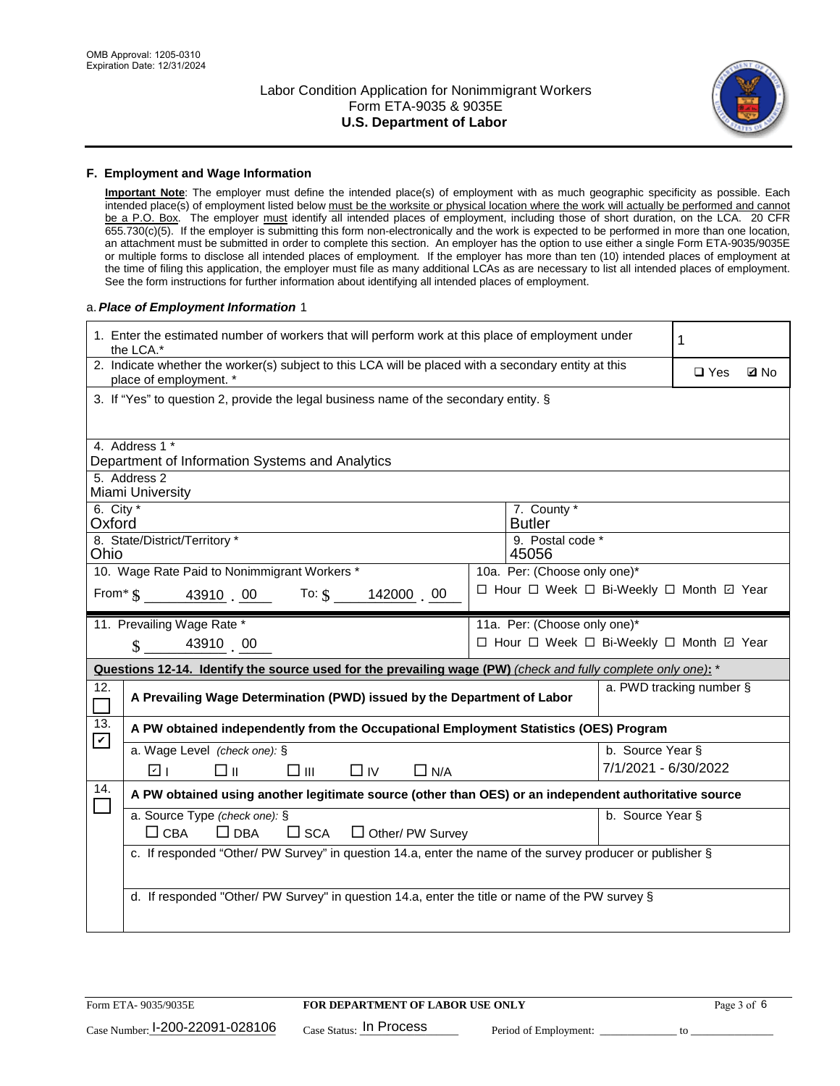

#### **F. Employment and Wage Information**

**Important Note**: The employer must define the intended place(s) of employment with as much geographic specificity as possible. Each intended place(s) of employment listed below must be the worksite or physical location where the work will actually be performed and cannot be a P.O. Box. The employer must identify all intended places of employment, including those of short duration, on the LCA. 20 CFR 655.730(c)(5). If the employer is submitting this form non-electronically and the work is expected to be performed in more than one location, an attachment must be submitted in order to complete this section. An employer has the option to use either a single Form ETA-9035/9035E or multiple forms to disclose all intended places of employment. If the employer has more than ten (10) intended places of employment at the time of filing this application, the employer must file as many additional LCAs as are necessary to list all intended places of employment. See the form instructions for further information about identifying all intended places of employment.

#### a.*Place of Employment Information* 1

|                       | 1. Enter the estimated number of workers that will perform work at this place of employment under<br>the LCA.*                 |  |                              |                      | 1                                        |  |  |
|-----------------------|--------------------------------------------------------------------------------------------------------------------------------|--|------------------------------|----------------------|------------------------------------------|--|--|
|                       | 2. Indicate whether the worker(s) subject to this LCA will be placed with a secondary entity at this<br>place of employment. * |  |                              |                      | $\Box$ Yes<br><b>Z</b> No                |  |  |
|                       | 3. If "Yes" to question 2, provide the legal business name of the secondary entity. §                                          |  |                              |                      |                                          |  |  |
|                       | 4. Address 1 *                                                                                                                 |  |                              |                      |                                          |  |  |
|                       | Department of Information Systems and Analytics                                                                                |  |                              |                      |                                          |  |  |
|                       | 5. Address 2<br>Miami University                                                                                               |  |                              |                      |                                          |  |  |
| 6. City $*$<br>Oxford |                                                                                                                                |  | 7. County *<br><b>Butler</b> |                      |                                          |  |  |
| Ohio                  | 8. State/District/Territory *                                                                                                  |  | 9. Postal code *<br>45056    |                      |                                          |  |  |
|                       | 10. Wage Rate Paid to Nonimmigrant Workers *                                                                                   |  | 10a. Per: (Choose only one)* |                      |                                          |  |  |
|                       | From $\frac{1}{9}$ 43910 . 00 To: \$<br>142000 00                                                                              |  |                              |                      | □ Hour □ Week □ Bi-Weekly □ Month ☑ Year |  |  |
|                       | 11. Prevailing Wage Rate *                                                                                                     |  | 11a. Per: (Choose only one)* |                      |                                          |  |  |
|                       | 43910 00<br>$\mathcal{S}$                                                                                                      |  |                              |                      | □ Hour □ Week □ Bi-Weekly □ Month 回 Year |  |  |
|                       | Questions 12-14. Identify the source used for the prevailing wage (PW) (check and fully complete only one): *                  |  |                              |                      |                                          |  |  |
|                       | a. PWD tracking number §<br>A Prevailing Wage Determination (PWD) issued by the Department of Labor                            |  |                              |                      |                                          |  |  |
| 12.<br>П              |                                                                                                                                |  |                              |                      |                                          |  |  |
| 13.                   | A PW obtained independently from the Occupational Employment Statistics (OES) Program                                          |  |                              |                      |                                          |  |  |
| $\mathbf v$           | a. Wage Level (check one): §                                                                                                   |  |                              | b. Source Year §     |                                          |  |  |
|                       | ☑ ।<br>□⊪<br>□⊪<br>$\Box$ IV<br>$\Box$ N/A                                                                                     |  |                              | 7/1/2021 - 6/30/2022 |                                          |  |  |
| 14.                   | A PW obtained using another legitimate source (other than OES) or an independent authoritative source                          |  |                              |                      |                                          |  |  |
|                       | a. Source Type (check one): §                                                                                                  |  |                              | b. Source Year §     |                                          |  |  |
|                       | $\Box$ CBA<br>$\Box$ DBA<br>$\square$ SCA<br>$\Box$ Other/ PW Survey                                                           |  |                              |                      |                                          |  |  |
|                       | c. If responded "Other/ PW Survey" in question 14.a, enter the name of the survey producer or publisher §                      |  |                              |                      |                                          |  |  |
|                       |                                                                                                                                |  |                              |                      |                                          |  |  |
|                       | d. If responded "Other/ PW Survey" in question 14.a, enter the title or name of the PW survey §                                |  |                              |                      |                                          |  |  |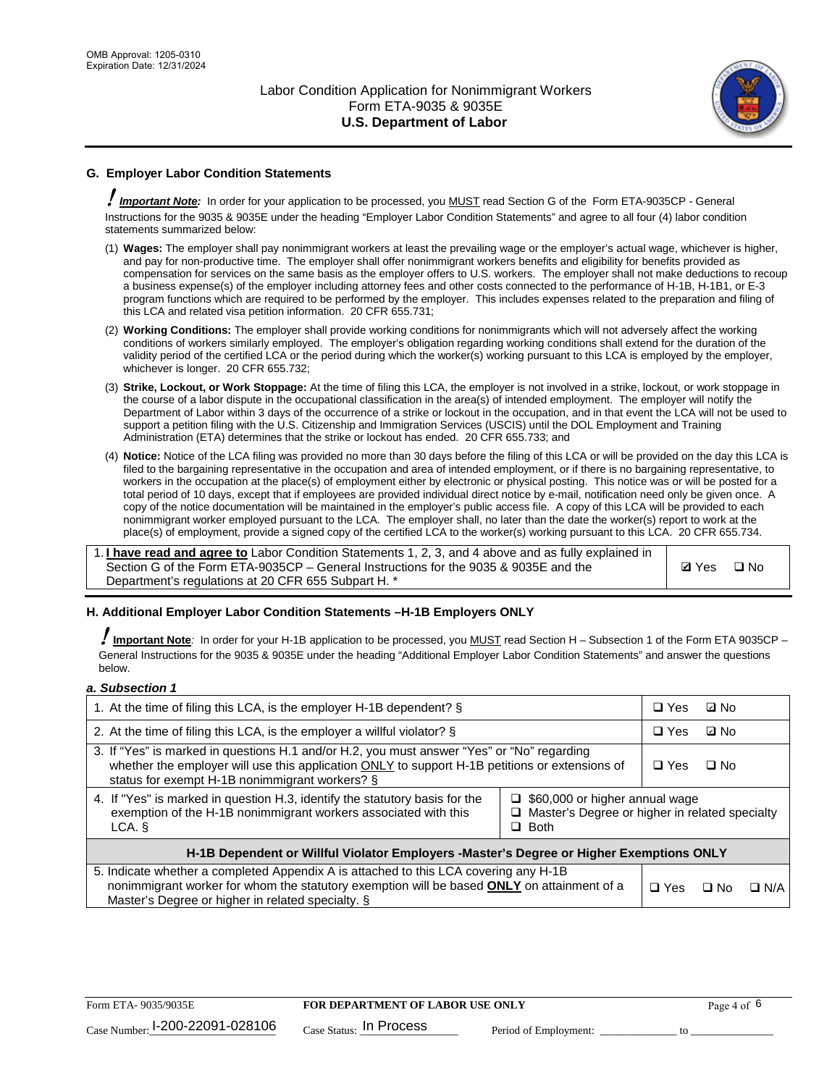

# **G. Employer Labor Condition Statements**

! *Important Note:* In order for your application to be processed, you MUST read Section G of the Form ETA-9035CP - General Instructions for the 9035 & 9035E under the heading "Employer Labor Condition Statements" and agree to all four (4) labor condition statements summarized below:

- (1) **Wages:** The employer shall pay nonimmigrant workers at least the prevailing wage or the employer's actual wage, whichever is higher, and pay for non-productive time. The employer shall offer nonimmigrant workers benefits and eligibility for benefits provided as compensation for services on the same basis as the employer offers to U.S. workers. The employer shall not make deductions to recoup a business expense(s) of the employer including attorney fees and other costs connected to the performance of H-1B, H-1B1, or E-3 program functions which are required to be performed by the employer. This includes expenses related to the preparation and filing of this LCA and related visa petition information. 20 CFR 655.731;
- (2) **Working Conditions:** The employer shall provide working conditions for nonimmigrants which will not adversely affect the working conditions of workers similarly employed. The employer's obligation regarding working conditions shall extend for the duration of the validity period of the certified LCA or the period during which the worker(s) working pursuant to this LCA is employed by the employer, whichever is longer. 20 CFR 655.732;
- (3) **Strike, Lockout, or Work Stoppage:** At the time of filing this LCA, the employer is not involved in a strike, lockout, or work stoppage in the course of a labor dispute in the occupational classification in the area(s) of intended employment. The employer will notify the Department of Labor within 3 days of the occurrence of a strike or lockout in the occupation, and in that event the LCA will not be used to support a petition filing with the U.S. Citizenship and Immigration Services (USCIS) until the DOL Employment and Training Administration (ETA) determines that the strike or lockout has ended. 20 CFR 655.733; and
- (4) **Notice:** Notice of the LCA filing was provided no more than 30 days before the filing of this LCA or will be provided on the day this LCA is filed to the bargaining representative in the occupation and area of intended employment, or if there is no bargaining representative, to workers in the occupation at the place(s) of employment either by electronic or physical posting. This notice was or will be posted for a total period of 10 days, except that if employees are provided individual direct notice by e-mail, notification need only be given once. A copy of the notice documentation will be maintained in the employer's public access file. A copy of this LCA will be provided to each nonimmigrant worker employed pursuant to the LCA. The employer shall, no later than the date the worker(s) report to work at the place(s) of employment, provide a signed copy of the certified LCA to the worker(s) working pursuant to this LCA. 20 CFR 655.734.

1. **I have read and agree to** Labor Condition Statements 1, 2, 3, and 4 above and as fully explained in Section G of the Form ETA-9035CP – General Instructions for the 9035 & 9035E and the Department's regulations at 20 CFR 655 Subpart H. \*

**Ø**Yes ロNo

#### **H. Additional Employer Labor Condition Statements –H-1B Employers ONLY**

!**Important Note***:* In order for your H-1B application to be processed, you MUST read Section H – Subsection 1 of the Form ETA 9035CP – General Instructions for the 9035 & 9035E under the heading "Additional Employer Labor Condition Statements" and answer the questions below.

#### *a. Subsection 1*

| 1. At the time of filing this LCA, is the employer H-1B dependent? §                                                                                                                                                                                                    |  |            | ⊡ No      |            |
|-------------------------------------------------------------------------------------------------------------------------------------------------------------------------------------------------------------------------------------------------------------------------|--|------------|-----------|------------|
| 2. At the time of filing this LCA, is the employer a willful violator? $\S$                                                                                                                                                                                             |  |            | ⊡ No      |            |
| 3. If "Yes" is marked in questions H.1 and/or H.2, you must answer "Yes" or "No" regarding<br>whether the employer will use this application ONLY to support H-1B petitions or extensions of<br>status for exempt H-1B nonimmigrant workers? §                          |  |            | $\Box$ No |            |
| 4. If "Yes" is marked in question H.3, identify the statutory basis for the<br>$\Box$ \$60,000 or higher annual wage<br>exemption of the H-1B nonimmigrant workers associated with this<br>$\Box$ Master's Degree or higher in related specialty<br>$\Box$ Both<br>LCA. |  |            |           |            |
| H-1B Dependent or Willful Violator Employers -Master's Degree or Higher Exemptions ONLY                                                                                                                                                                                 |  |            |           |            |
| 5. Indicate whether a completed Appendix A is attached to this LCA covering any H-1B<br>nonimmigrant worker for whom the statutory exemption will be based <b>ONLY</b> on attainment of a<br>Master's Degree or higher in related specialty. §                          |  | $\Box$ Yes | ⊡ No      | $\Box$ N/A |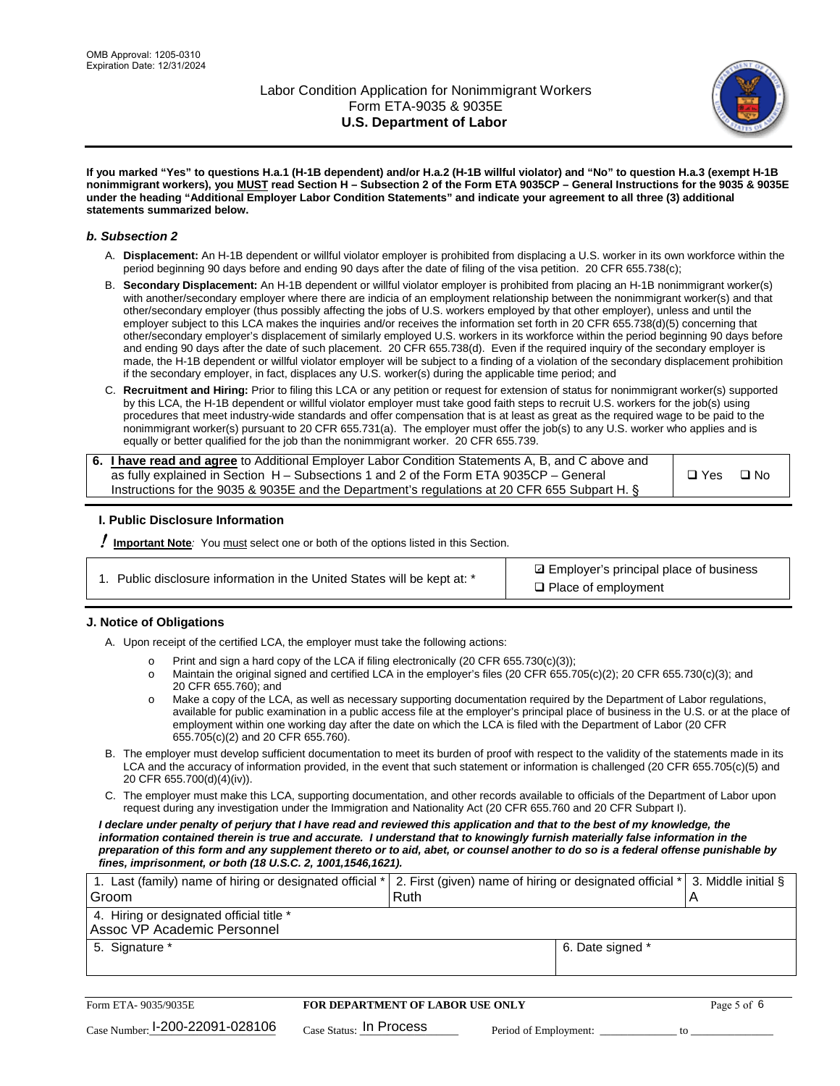

**If you marked "Yes" to questions H.a.1 (H-1B dependent) and/or H.a.2 (H-1B willful violator) and "No" to question H.a.3 (exempt H-1B nonimmigrant workers), you MUST read Section H – Subsection 2 of the Form ETA 9035CP – General Instructions for the 9035 & 9035E under the heading "Additional Employer Labor Condition Statements" and indicate your agreement to all three (3) additional statements summarized below.**

#### *b. Subsection 2*

- A. **Displacement:** An H-1B dependent or willful violator employer is prohibited from displacing a U.S. worker in its own workforce within the period beginning 90 days before and ending 90 days after the date of filing of the visa petition. 20 CFR 655.738(c);
- B. **Secondary Displacement:** An H-1B dependent or willful violator employer is prohibited from placing an H-1B nonimmigrant worker(s) with another/secondary employer where there are indicia of an employment relationship between the nonimmigrant worker(s) and that other/secondary employer (thus possibly affecting the jobs of U.S. workers employed by that other employer), unless and until the employer subject to this LCA makes the inquiries and/or receives the information set forth in 20 CFR 655.738(d)(5) concerning that other/secondary employer's displacement of similarly employed U.S. workers in its workforce within the period beginning 90 days before and ending 90 days after the date of such placement. 20 CFR 655.738(d). Even if the required inquiry of the secondary employer is made, the H-1B dependent or willful violator employer will be subject to a finding of a violation of the secondary displacement prohibition if the secondary employer, in fact, displaces any U.S. worker(s) during the applicable time period; and
- C. **Recruitment and Hiring:** Prior to filing this LCA or any petition or request for extension of status for nonimmigrant worker(s) supported by this LCA, the H-1B dependent or willful violator employer must take good faith steps to recruit U.S. workers for the job(s) using procedures that meet industry-wide standards and offer compensation that is at least as great as the required wage to be paid to the nonimmigrant worker(s) pursuant to 20 CFR 655.731(a). The employer must offer the job(s) to any U.S. worker who applies and is equally or better qualified for the job than the nonimmigrant worker. 20 CFR 655.739.

| 6. I have read and agree to Additional Employer Labor Condition Statements A, B, and C above and |       |           |
|--------------------------------------------------------------------------------------------------|-------|-----------|
| as fully explained in Section H – Subsections 1 and 2 of the Form ETA 9035CP – General           | □ Yes | $\Box$ No |
| Instructions for the 9035 & 9035 E and the Department's regulations at 20 CFR 655 Subpart H. §   |       |           |

#### **I. Public Disclosure Information**

! **Important Note***:* You must select one or both of the options listed in this Section.

**sqrt** Employer's principal place of business □ Place of employment

#### **J. Notice of Obligations**

A. Upon receipt of the certified LCA, the employer must take the following actions:

- o Print and sign a hard copy of the LCA if filing electronically (20 CFR 655.730(c)(3));<br>
Maintain the original signed and certified LCA in the employer's files (20 CFR 655.7
- Maintain the original signed and certified LCA in the employer's files (20 CFR 655.705(c)(2); 20 CFR 655.730(c)(3); and 20 CFR 655.760); and
- o Make a copy of the LCA, as well as necessary supporting documentation required by the Department of Labor regulations, available for public examination in a public access file at the employer's principal place of business in the U.S. or at the place of employment within one working day after the date on which the LCA is filed with the Department of Labor (20 CFR 655.705(c)(2) and 20 CFR 655.760).
- B. The employer must develop sufficient documentation to meet its burden of proof with respect to the validity of the statements made in its LCA and the accuracy of information provided, in the event that such statement or information is challenged (20 CFR 655.705(c)(5) and 20 CFR 655.700(d)(4)(iv)).
- C. The employer must make this LCA, supporting documentation, and other records available to officials of the Department of Labor upon request during any investigation under the Immigration and Nationality Act (20 CFR 655.760 and 20 CFR Subpart I).

*I declare under penalty of perjury that I have read and reviewed this application and that to the best of my knowledge, the*  information contained therein is true and accurate. I understand that to knowingly furnish materially false information in the *preparation of this form and any supplement thereto or to aid, abet, or counsel another to do so is a federal offense punishable by fines, imprisonment, or both (18 U.S.C. 2, 1001,1546,1621).*

| 1. Last (family) name of hiring or designated official * 2. First (given) name of hiring or designated official * 3. Middle initial § |  |
|---------------------------------------------------------------------------------------------------------------------------------------|--|
| Ruth                                                                                                                                  |  |
|                                                                                                                                       |  |
| 6. Date signed *                                                                                                                      |  |
|                                                                                                                                       |  |